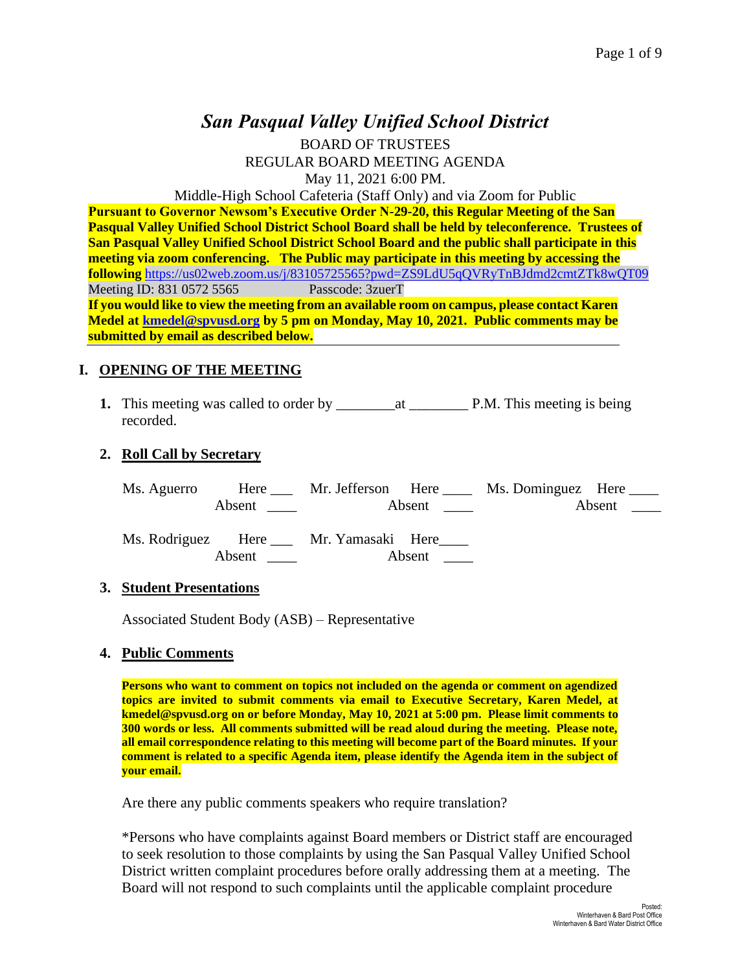# *San Pasqual Valley Unified School District*

BOARD OF TRUSTEES REGULAR BOARD MEETING AGENDA May 11, 2021 6:00 PM.

Middle-High School Cafeteria (Staff Only) and via Zoom for Public

**Pursuant to Governor Newsom's Executive Order N-29-20, this Regular Meeting of the San Pasqual Valley Unified School District School Board shall be held by teleconference. Trustees of San Pasqual Valley Unified School District School Board and the public shall participate in this meeting via zoom conferencing. The Public may participate in this meeting by accessing the following** <https://us02web.zoom.us/j/83105725565?pwd=ZS9LdU5qQVRyTnBJdmd2cmtZTk8wQT09> Meeting ID: 831 0572 5565 Passcode: 3zuerT

**If you would like to view the meeting from an available room on campus, please contact Karen Medel at [kmedel@spvusd.org](mailto:kmedel@spvusd.org) by 5 pm on Monday, May 10, 2021. Public comments may be submitted by email as described below.** 

#### **I. OPENING OF THE MEETING**

**1.** This meeting was called to order by \_\_\_\_\_\_\_\_at \_\_\_\_\_\_\_\_ P.M. This meeting is being recorded.

#### **2. Roll Call by Secretary**

| Ms. Aguerro |        |                                              |        | Here Mr. Jefferson Here Ms. Dominguez Here |        |
|-------------|--------|----------------------------------------------|--------|--------------------------------------------|--------|
|             |        |                                              | Absent |                                            | Absent |
|             |        |                                              |        |                                            |        |
|             |        | Ms. Rodriguez Here ___ Mr. Yamasaki Here____ |        |                                            |        |
|             | Absent |                                              | Absent |                                            |        |

#### **3. Student Presentations**

Associated Student Body (ASB) – Representative

#### **4. Public Comments**

**Persons who want to comment on topics not included on the agenda or comment on agendized topics are invited to submit comments via email to Executive Secretary, Karen Medel, at kmedel@spvusd.org on or before Monday, May 10, 2021 at 5:00 pm. Please limit comments to 300 words or less. All comments submitted will be read aloud during the meeting. Please note, all email correspondence relating to this meeting will become part of the Board minutes. If your comment is related to a specific Agenda item, please identify the Agenda item in the subject of your email.**

Are there any public comments speakers who require translation?

\*Persons who have complaints against Board members or District staff are encouraged to seek resolution to those complaints by using the San Pasqual Valley Unified School District written complaint procedures before orally addressing them at a meeting. The Board will not respond to such complaints until the applicable complaint procedure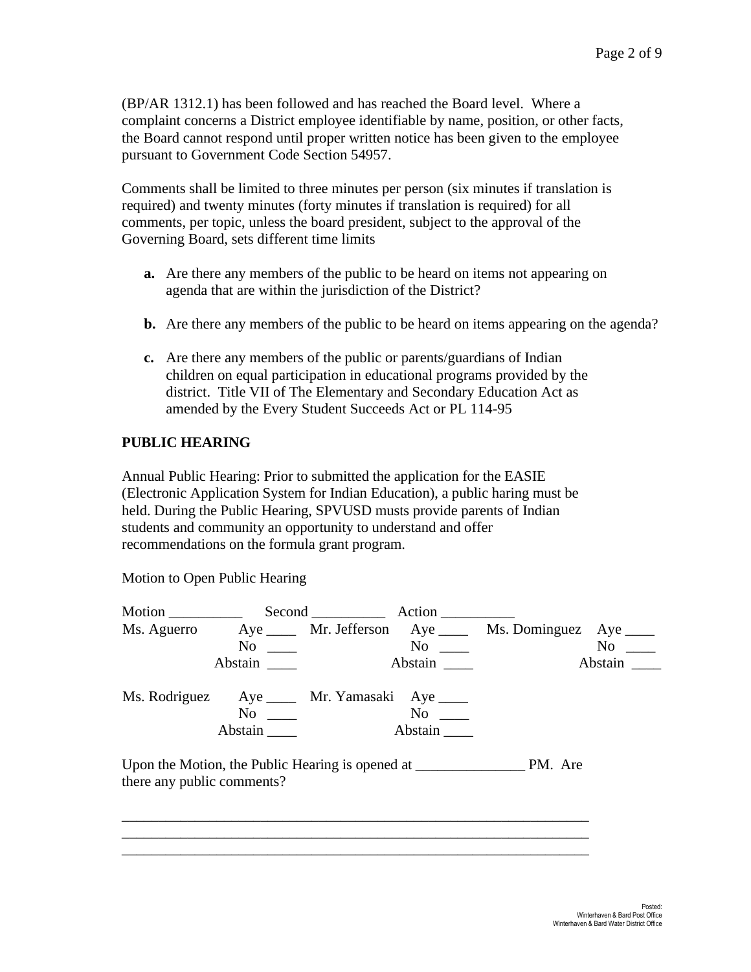(BP/AR 1312.1) has been followed and has reached the Board level. Where a complaint concerns a District employee identifiable by name, position, or other facts, the Board cannot respond until proper written notice has been given to the employee pursuant to Government Code Section 54957.

Comments shall be limited to three minutes per person (six minutes if translation is required) and twenty minutes (forty minutes if translation is required) for all comments, per topic, unless the board president, subject to the approval of the Governing Board, sets different time limits

- **a.** Are there any members of the public to be heard on items not appearing on agenda that are within the jurisdiction of the District?
- **b.** Are there any members of the public to be heard on items appearing on the agenda?
- **c.** Are there any members of the public or parents/guardians of Indian children on equal participation in educational programs provided by the district. Title VII of The Elementary and Secondary Education Act as amended by the Every Student Succeeds Act or PL 114-95

#### **PUBLIC HEARING**

Annual Public Hearing: Prior to submitted the application for the EASIE (Electronic Application System for Indian Education), a public haring must be held. During the Public Hearing, SPVUSD musts provide parents of Indian students and community an opportunity to understand and offer recommendations on the formula grant program.

Motion to Open Public Hearing

|                            | $No \t —$                                                                                                                                                                                                                                              |                                                                     | $No \t —$                                               |
|----------------------------|--------------------------------------------------------------------------------------------------------------------------------------------------------------------------------------------------------------------------------------------------------|---------------------------------------------------------------------|---------------------------------------------------------|
|                            |                                                                                                                                                                                                                                                        |                                                                     | Abstain                                                 |
|                            |                                                                                                                                                                                                                                                        |                                                                     |                                                         |
|                            | No no                                                                                                                                                                                                                                                  |                                                                     |                                                         |
|                            |                                                                                                                                                                                                                                                        |                                                                     |                                                         |
|                            |                                                                                                                                                                                                                                                        |                                                                     |                                                         |
|                            |                                                                                                                                                                                                                                                        |                                                                     |                                                         |
| there any public comments? | $No \ \_$<br>Abstain<br>No new contract the North State of the North State and State and State and State and State and State and State and State and State and State and State and State and State and State and State and State and State and State a | Abstain<br>Ms. Rodriguez Aye _____ Mr. Yamasaki Aye ____<br>Abstain | Ms. Aguerro Aye Mr. Jefferson Aye Ms. Dominguez Aye ___ |

\_\_\_\_\_\_\_\_\_\_\_\_\_\_\_\_\_\_\_\_\_\_\_\_\_\_\_\_\_\_\_\_\_\_\_\_\_\_\_\_\_\_\_\_\_\_\_\_\_\_\_\_\_\_\_\_\_\_\_\_\_\_\_\_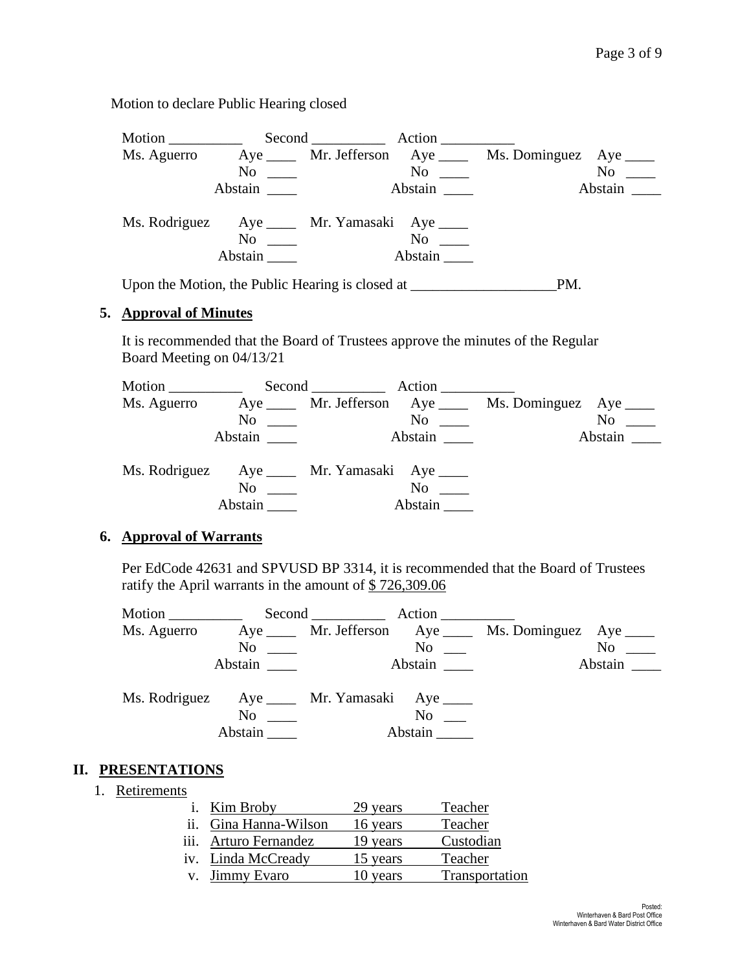Motion to declare Public Hearing closed

| Motion                                           |                      | Second Action |               |                                                         |         |
|--------------------------------------------------|----------------------|---------------|---------------|---------------------------------------------------------|---------|
|                                                  |                      |               |               | Ms. Aguerro Aye Mr. Jefferson Aye Ms. Dominguez Aye ___ |         |
|                                                  | $No \ \_$            |               | $\rm No$      |                                                         | No      |
|                                                  | Abstain              |               | Abstain       |                                                         | Abstain |
| Ms. Rodriguez Aye ____ Mr. Yamasaki Aye ____     | $No \ \_$<br>Abstain |               | No<br>Abstain |                                                         |         |
| Upon the Motion, the Public Hearing is closed at |                      |               |               | PM.                                                     |         |

### **5. Approval of Minutes**

It is recommended that the Board of Trustees approve the minutes of the Regular Board Meeting on 04/13/21

|               |                                                                                |                                  | Second Action |                                                            |         |
|---------------|--------------------------------------------------------------------------------|----------------------------------|---------------|------------------------------------------------------------|---------|
| Ms. Aguerro   |                                                                                |                                  |               | Aye ______ Mr. Jefferson Aye _____ Ms. Dominguez Aye _____ |         |
|               | N <sub>0</sub><br>$\mathcal{L}=\frac{1}{2} \sum_{i=1}^{n} \mathcal{L}^{(i)}$ . |                                  | $\rm No$      |                                                            | No      |
|               | Abstain                                                                        |                                  | Abstain       |                                                            | Abstain |
| Ms. Rodriguez |                                                                                | Aye _____ Mr. Yamasaki Aye _____ |               |                                                            |         |
|               | N <sub>0</sub>                                                                 |                                  | No.           |                                                            |         |
|               | Abstain                                                                        |                                  | Abstain       |                                                            |         |

#### **6. Approval of Warrants**

Per EdCode 42631 and SPVUSD BP 3314, it is recommended that the Board of Trustees ratify the April warrants in the amount of \$ 726,309.06

| Motion        |                                                    | Second <u>second</u> |                  |                                                           |                                                                                                                                                                                                                               |
|---------------|----------------------------------------------------|----------------------|------------------|-----------------------------------------------------------|-------------------------------------------------------------------------------------------------------------------------------------------------------------------------------------------------------------------------------|
| Ms. Aguerro   |                                                    |                      |                  | Aye ______ Mr. Jefferson Aye _____ Ms. Dominguez Aye ____ |                                                                                                                                                                                                                               |
|               | No                                                 |                      | No               |                                                           | No note that the set of the set of the set of the set of the set of the set of the set of the set of the set of the set of the set of the set of the set of the set of the set of the set of the set of the set of the set of |
|               | Abstain                                            |                      | Abstain          |                                                           | Abstain                                                                                                                                                                                                                       |
| Ms. Rodriguez | Aye ______ Mr. Yamasaki Aye _____<br>No<br>Abstain |                      | No no<br>Abstain |                                                           |                                                                                                                                                                                                                               |

### **II. PRESENTATIONS**

1. Retirements

|                   | i. Kim Broby          | 29 years | Teacher        |
|-------------------|-----------------------|----------|----------------|
| $\overline{11}$ . | Gina Hanna-Wilson     | 16 years | Teacher        |
|                   | iii. Arturo Fernandez | 19 years | Custodian      |
|                   | iv. Linda McCready    | 15 years | Teacher        |
| V.                | Jimmy Evaro           | 10 years | Transportation |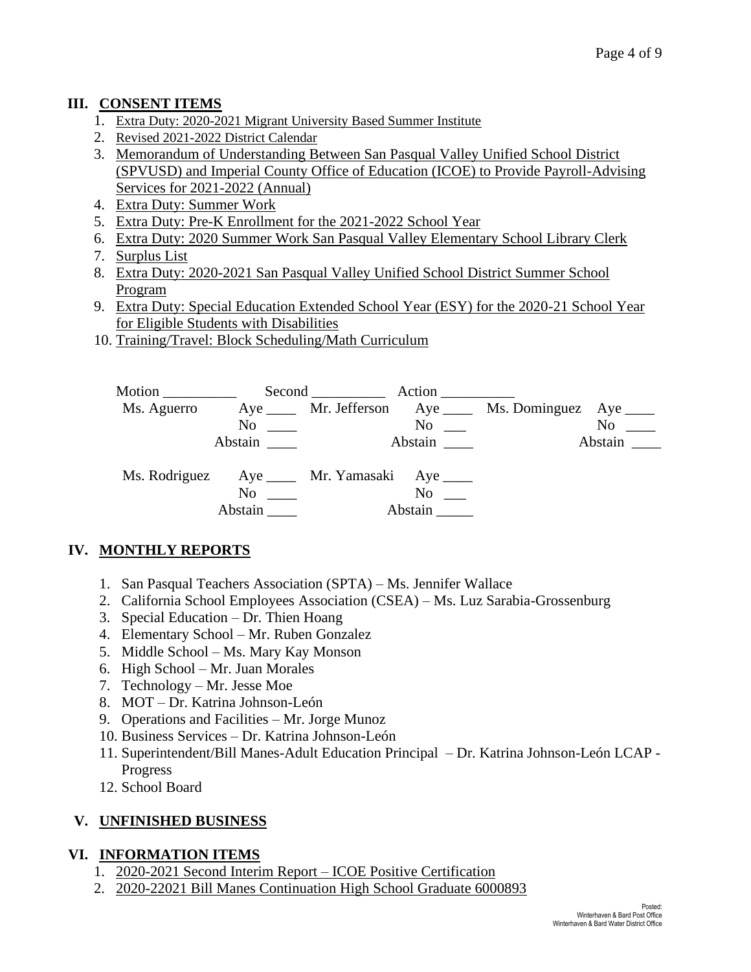# **III. CONSENT ITEMS**

- 1. Extra Duty: 2020-2021 Migrant University Based Summer Institute
- 2. Revised 2021-2022 District Calendar
- 3. Memorandum of Understanding Between San Pasqual Valley Unified School District (SPVUSD) and Imperial County Office of Education (ICOE) to Provide Payroll-Advising Services for 2021-2022 (Annual)
- 4. Extra Duty: Summer Work
- 5. Extra Duty: Pre-K Enrollment for the 2021-2022 School Year
- 6. Extra Duty: 2020 Summer Work San Pasqual Valley Elementary School Library Clerk
- 7. Surplus List
- 8. Extra Duty: 2020-2021 San Pasqual Valley Unified School District Summer School Program
- 9. Extra Duty: Special Education Extended School Year (ESY) for the 2020-21 School Year for Eligible Students with Disabilities
- 10. Training/Travel: Block Scheduling/Math Curriculum



# **IV. MONTHLY REPORTS**

- 1. San Pasqual Teachers Association (SPTA) Ms. Jennifer Wallace
- 2. California School Employees Association (CSEA) Ms. Luz Sarabia-Grossenburg
- 3. Special Education Dr. Thien Hoang
- 4. Elementary School Mr. Ruben Gonzalez
- 5. Middle School Ms. Mary Kay Monson
- 6. High School Mr. Juan Morales
- 7. Technology Mr. Jesse Moe
- 8. MOT Dr. Katrina Johnson-León
- 9. Operations and Facilities Mr. Jorge Munoz
- 10. Business Services Dr. Katrina Johnson-León
- 11. Superintendent/Bill Manes-Adult Education Principal Dr. Katrina Johnson-León LCAP Progress
- 12. School Board

# **V. UNFINISHED BUSINESS**

### **VI. INFORMATION ITEMS**

- 1. 2020-2021 Second Interim Report ICOE Positive Certification
- 2. 2020-22021 Bill Manes Continuation High School Graduate 6000893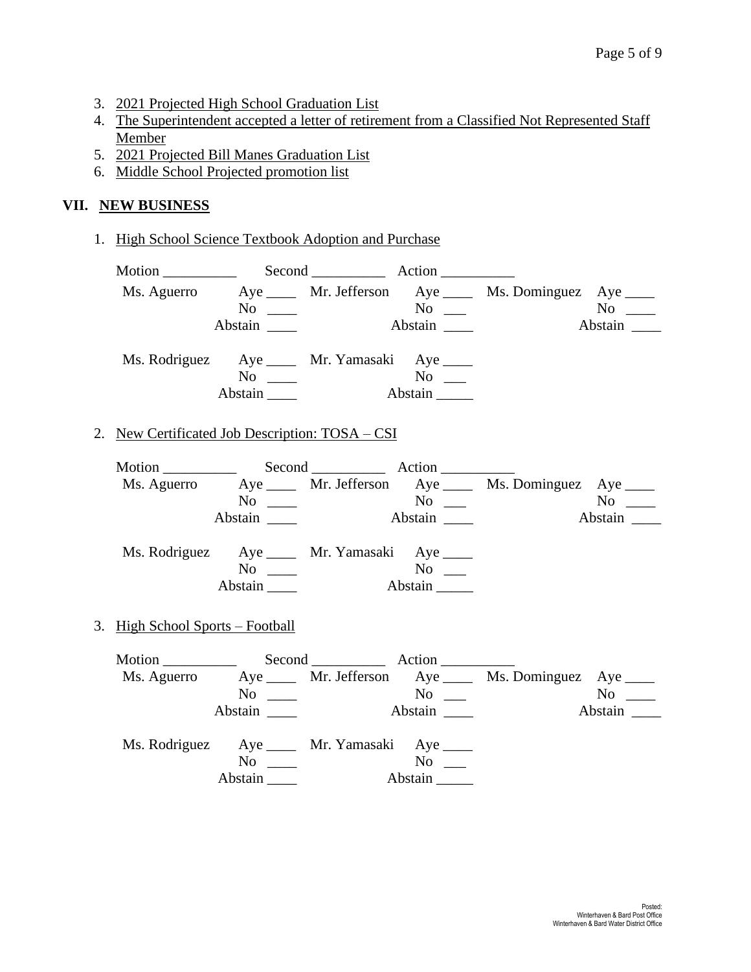- 3. 2021 Projected High School Graduation List
- 4. The Superintendent accepted a letter of retirement from a Classified Not Represented Staff Member
- 5. 2021 Projected Bill Manes Graduation List
- 6. Middle School Projected promotion list

### **VII. NEW BUSINESS**

1. High School Science Textbook Adoption and Purchase

|                                                 | $\overline{\text{No}}$ $\overline{\phantom{0}}$            |                             |         | Ms. Aguerro Aye ____ Mr. Jefferson Aye ____ Ms. Dominguez Aye ____   | $No \ \_$       |
|-------------------------------------------------|------------------------------------------------------------|-----------------------------|---------|----------------------------------------------------------------------|-----------------|
|                                                 | Abstain _______                                            | Abstain                     |         |                                                                      | Abstain _______ |
|                                                 | Ms. Rodriguez Aye _____ Mr. Yamasaki Aye ____<br>$No \ \_$ |                             |         |                                                                      |                 |
|                                                 | Abstain $\_\_\_\_\$                                        | $N^{\rm o}$ $\qquad \qquad$ | Abstain |                                                                      |                 |
| 2. New Certificated Job Description: TOSA - CSI |                                                            |                             |         |                                                                      |                 |
|                                                 |                                                            |                             |         |                                                                      |                 |
|                                                 |                                                            |                             |         | Ms. Aguerro Aye _____ Mr. Jefferson Aye _____ Ms. Dominguez Aye ____ |                 |
|                                                 | $No \ \_$                                                  |                             | Abstain |                                                                      | $N$ o           |
|                                                 | Abstain _______                                            |                             |         |                                                                      | Abstain         |
|                                                 | Ms. Rodriguez Aye ____ Mr. Yamasaki Aye ____               |                             |         |                                                                      |                 |
|                                                 | $\overline{\text{No}}$ $\overline{\phantom{0}}$            |                             |         |                                                                      |                 |
|                                                 | Abstain                                                    |                             | Abstain |                                                                      |                 |
| 3. High School Sports – Football                |                                                            |                             |         |                                                                      |                 |
|                                                 |                                                            |                             |         |                                                                      |                 |
|                                                 |                                                            |                             |         | Ms. Aguerro Aye _____ Mr. Jefferson Aye _____ Ms. Dominguez Aye ____ |                 |
|                                                 | $No \ \_$                                                  |                             |         |                                                                      | $No \ \_$       |
|                                                 |                                                            |                             | Abstain |                                                                      | Abstain         |
|                                                 | Ms. Rodriguez Aye ____ Mr. Yamasaki Aye ____               |                             |         |                                                                      |                 |
|                                                 | $No \ \_$                                                  |                             | $No \_$ |                                                                      |                 |
|                                                 | Abstain                                                    |                             | Abstain |                                                                      |                 |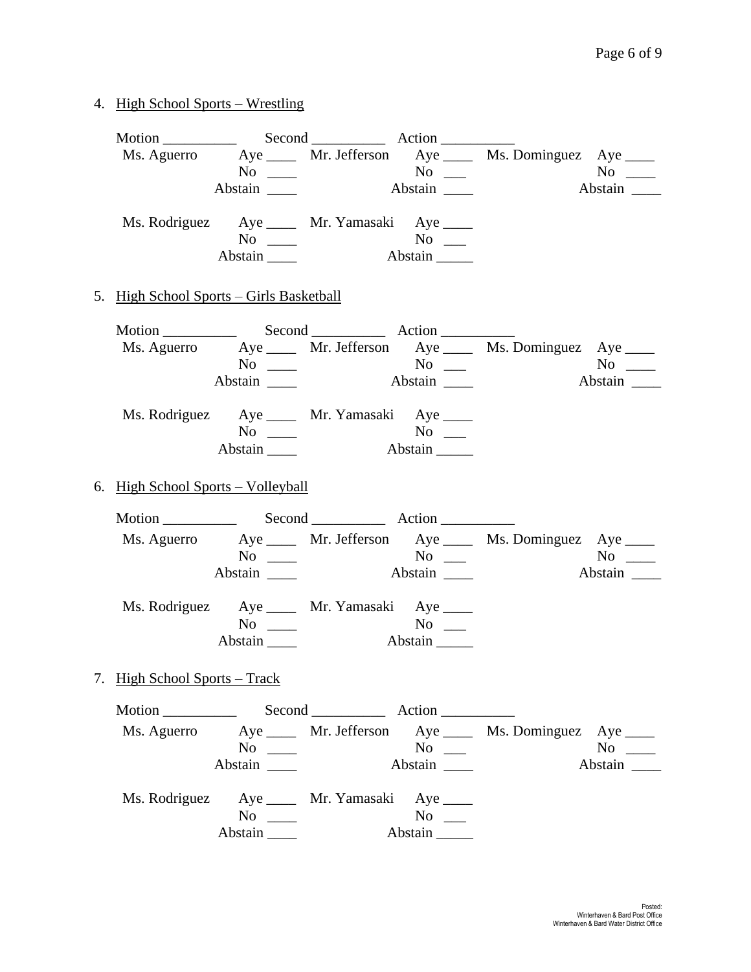# 4. High School Sports – Wrestling

|                                          |                                                            |                                                 | Ms. Aguerro Aye ____ Mr. Jefferson Aye ____ Ms. Dominguez Aye ____   | $No \ \_$   |
|------------------------------------------|------------------------------------------------------------|-------------------------------------------------|----------------------------------------------------------------------|-------------|
|                                          | Abstain _______                                            |                                                 |                                                                      |             |
|                                          | Ms. Rodriguez Aye _____ Mr. Yamasaki Aye ____<br>$No \ \_$ | $No \_$                                         |                                                                      |             |
|                                          | Abstain $\_\_\_\_\$                                        | Abstain                                         |                                                                      |             |
| 5. High School Sports - Girls Basketball |                                                            |                                                 |                                                                      |             |
|                                          |                                                            |                                                 |                                                                      |             |
|                                          |                                                            |                                                 | Ms. Aguerro Aye _____ Mr. Jefferson Aye _____ Ms. Dominguez Aye ____ |             |
|                                          | $No \ \_$                                                  |                                                 |                                                                      | $No \ \_$   |
|                                          | Ms. Rodriguez Aye ____ Mr. Yamasaki Aye ____               |                                                 |                                                                      |             |
|                                          | $No \ \_$                                                  | $No \_$                                         |                                                                      |             |
|                                          |                                                            | Abstain                                         |                                                                      |             |
| 6. High School Sports - Volleyball       |                                                            |                                                 |                                                                      |             |
|                                          |                                                            |                                                 |                                                                      |             |
|                                          |                                                            |                                                 | Ms. Aguerro Aye _____ Mr. Jefferson Aye _____ Ms. Dominguez Aye ____ |             |
|                                          | $No \ \_$                                                  |                                                 |                                                                      | $No \ \_$   |
|                                          | Abstain $\_\_$                                             |                                                 |                                                                      |             |
|                                          | Ms. Rodriguez Aye _____ Mr. Yamasaki Aye ____              |                                                 |                                                                      |             |
|                                          | $No \ \_$                                                  | $No \ \_$                                       |                                                                      |             |
|                                          | Abstain $\_\_\_\_\$                                        | Abstain                                         |                                                                      |             |
| 7. High School Sports – Track            |                                                            |                                                 |                                                                      |             |
| Motion $\qquad$                          |                                                            |                                                 |                                                                      |             |
|                                          |                                                            |                                                 | Ms. Aguerro Aye _____ Mr. Jefferson Aye _____ Ms. Dominguez Aye ____ |             |
|                                          | $No \ \_$                                                  | $\overline{\text{No}}$ $\overline{\phantom{0}}$ |                                                                      | No $\qquad$ |
|                                          | Abstain                                                    | Abstain ______                                  |                                                                      | Abstain     |
|                                          | Ms. Rodriguez Aye _____ Mr. Yamasaki Aye ____              |                                                 |                                                                      |             |
|                                          | $No \ \_$                                                  | $No \_$<br>Abstain                              |                                                                      |             |
|                                          |                                                            |                                                 |                                                                      |             |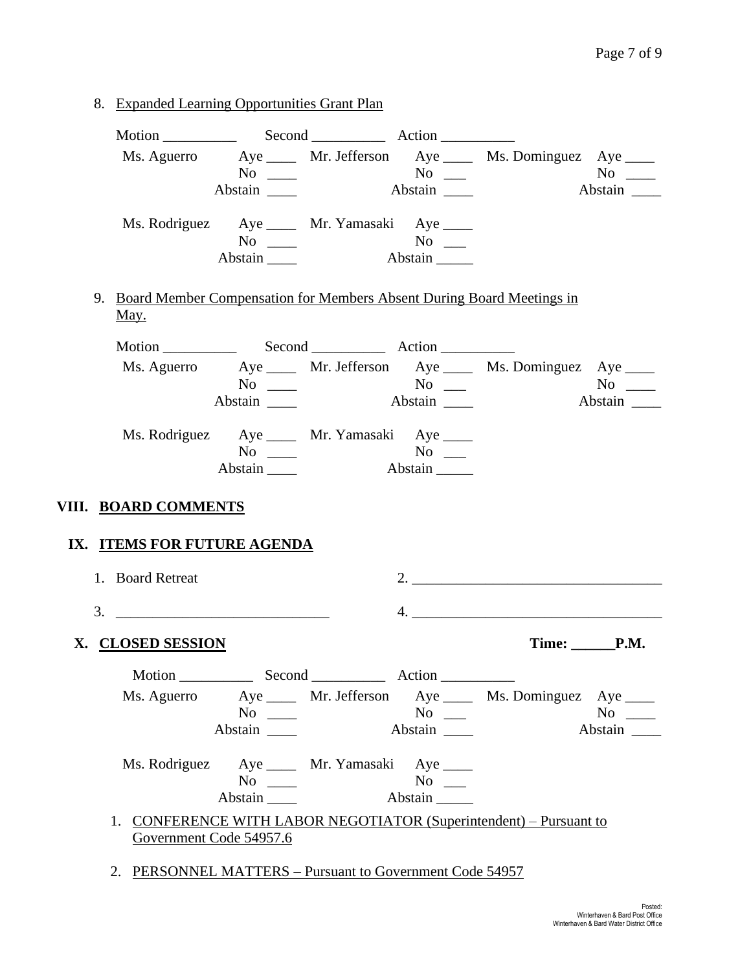8. Expanded Learning Opportunities Grant Plan

| Ms. Aguerro Aye ____ Mr. Jefferson Aye ____ Ms. Dominguez Aye ____                      |                          |
|-----------------------------------------------------------------------------------------|--------------------------|
|                                                                                         |                          |
| Abstain                                                                                 |                          |
| Ms. Rodriguez Aye _____ Mr. Yamasaki Aye ____                                           |                          |
| $\overline{N_0}$ $\overline{\phantom{1}}$                                               |                          |
| Abstain<br>Abstain $\_\_\_\$                                                            |                          |
| 9. Board Member Compensation for Members Absent During Board Meetings in<br><u>May.</u> |                          |
|                                                                                         |                          |
| Ms. Aguerro Aye ____ Mr. Jefferson Aye ____ Ms. Dominguez Aye ____                      |                          |
| Abstain $\frac{ }{ }$                                                                   | Abstain                  |
|                                                                                         |                          |
| Ms. Rodriguez Aye _____ Mr. Yamasaki Aye ____<br>No $\qquad$                            |                          |
| Abstain                                                                                 |                          |
| VIII. BOARD COMMENTS<br>IX. ITEMS FOR FUTURE AGENDA<br>1. Board Retreat                 |                          |
|                                                                                         |                          |
|                                                                                         |                          |
| X. CLOSED SESSION                                                                       | Time: _______P.M.        |
|                                                                                         |                          |
| Ms. Aguerro Aye ____ Mr. Jefferson Aye ____ Ms. Dominguez Aye ____                      |                          |
| $No \ \_$<br>Abstain                                                                    | No $\qquad$<br>$No \ \_$ |
|                                                                                         |                          |
| Ms. Rodriguez Aye _____ Mr. Yamasaki Aye ____<br>$No \_$                                | $No \_$                  |
|                                                                                         |                          |
| Abstain<br>Abstain                                                                      |                          |

2. PERSONNEL MATTERS – Pursuant to Government Code 54957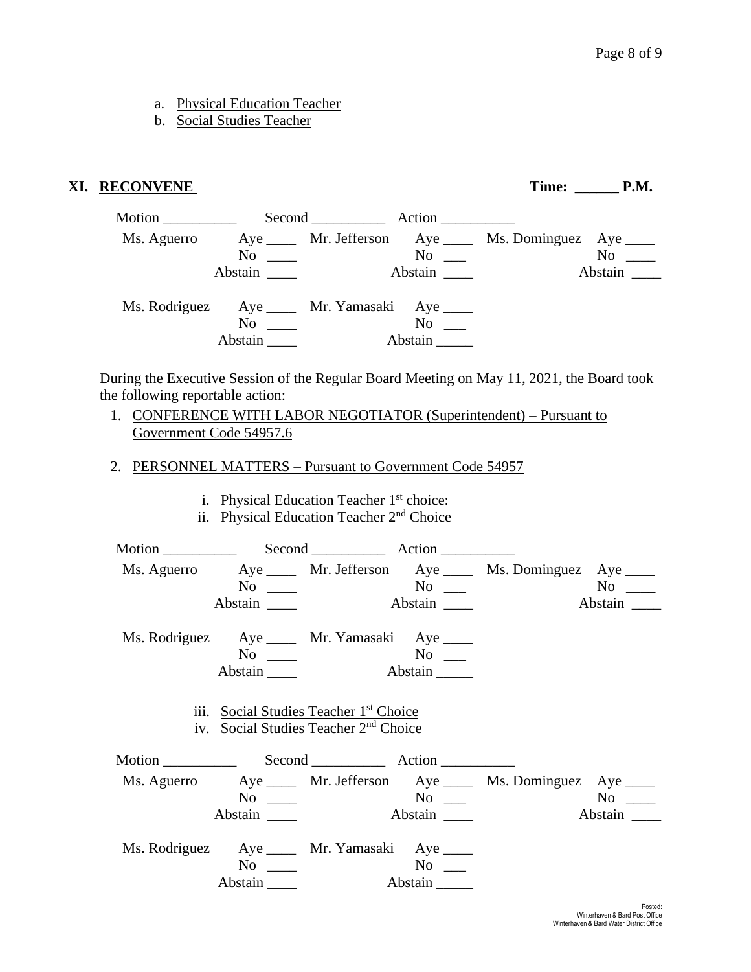- a. Physical Education Teacher
- b. Social Studies Teacher

#### **XI. RECONVENE Time: \_\_\_\_\_\_ P.M.**

| Motion ____________                           |                                                                                                                                                                                                                                |           |                                                         |                     |
|-----------------------------------------------|--------------------------------------------------------------------------------------------------------------------------------------------------------------------------------------------------------------------------------|-----------|---------------------------------------------------------|---------------------|
| Ms. Aguerro                                   |                                                                                                                                                                                                                                |           | Aye _____ Mr. Jefferson Aye ____ Ms. Dominguez Aye ____ |                     |
|                                               |                                                                                                                                                                                                                                | $No \ \_$ |                                                         | No                  |
|                                               |                                                                                                                                                                                                                                | Abstain   |                                                         | Abstain $\_\_\_\_\$ |
| Ms. Rodriguez Aye _____ Mr. Yamasaki Aye ____ |                                                                                                                                                                                                                                |           |                                                         |                     |
|                                               | No the set of the set of the set of the set of the set of the set of the set of the set of the set of the set of the set of the set of the set of the set of the set of the set of the set of the set of the set of the set of | $No \t —$ |                                                         |                     |
|                                               | Abstain                                                                                                                                                                                                                        | Abstain   |                                                         |                     |

During the Executive Session of the Regular Board Meeting on May 11, 2021, the Board took the following reportable action:

- 1. CONFERENCE WITH LABOR NEGOTIATOR (Superintendent) Pursuant to Government Code 54957.6
- 2. PERSONNEL MATTERS Pursuant to Government Code 54957
	- i. Physical Education Teacher 1<sup>st</sup> choice:
	- ii. Physical Education Teacher 2<sup>nd</sup> Choice

Motion \_\_\_\_\_\_\_\_\_\_ Second \_\_\_\_\_\_\_\_\_\_ Action \_\_\_\_\_\_\_\_\_\_ Ms. Aguerro Aye \_\_\_\_ Mr. Jefferson Aye \_\_\_\_ Ms. Dominguez Aye \_\_\_\_ No \_\_\_ No \_\_ No \_\_ No \_\_ Abstain **Abstain Abstain Abstain** Ms. Rodriguez Aye \_\_\_\_ Mr. Yamasaki Aye \_\_\_\_ No \_\_\_\_ No \_\_\_ Abstain \_\_\_\_ Abstain \_\_\_\_\_ iii. Social Studies Teacher 1st Choice iv. Social Studies Teacher 2nd Choice Motion \_\_\_\_\_\_\_\_\_\_ Second \_\_\_\_\_\_\_\_\_\_ Action \_\_\_\_\_\_\_\_\_\_ Ms. Aguerro Aye \_\_\_\_ Mr. Jefferson Aye \_\_\_\_ Ms. Dominguez Aye \_\_\_\_ No \_\_\_\_ No \_\_\_ No \_\_\_\_ Abstain \_\_\_\_ Abstain \_\_\_ Abstain \_\_\_ Abstain \_\_\_ Ms. Rodriguez Aye \_\_\_\_ Mr. Yamasaki Aye \_\_\_\_ No \_\_\_\_ No \_\_\_ Abstain \_\_\_\_ Abstain \_\_\_\_